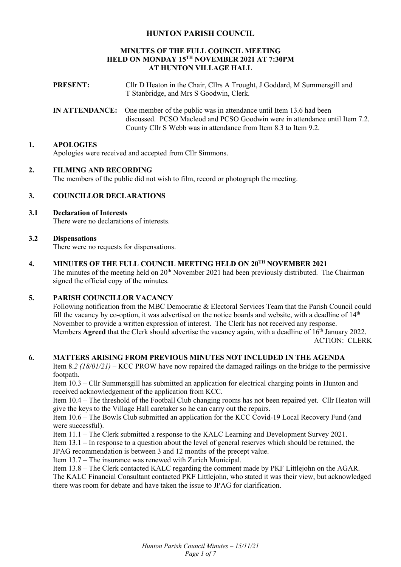# **HUNTON PARISH COUNCIL**

#### **MINUTES OF THE FULL COUNCIL MEETING HELD ON MONDAY 15TH NOVEMBER 2021 AT 7:30PM AT HUNTON VILLAGE HALL**

- **PRESENT:** Cllr D Heaton in the Chair, Cllrs A Trought, J Goddard, M Summersgill and T Stanbridge, and Mrs S Goodwin, Clerk.
- **IN ATTENDANCE:** One member of the public was in attendance until Item 13.6 had been discussed. PCSO Macleod and PCSO Goodwin were in attendance until Item 7.2. County Cllr S Webb was in attendance from Item 8.3 to Item 9.2.

## **1. APOLOGIES**

Apologies were received and accepted from Cllr Simmons.

### **2. FILMING AND RECORDING**

The members of the public did not wish to film, record or photograph the meeting.

# **3. COUNCILLOR DECLARATIONS**

**3.1 Declaration of Interests**  There were no declarations of interests.

### **3.2 Dispensations**

There were no requests for dispensations.

**4. MINUTES OF THE FULL COUNCIL MEETING HELD ON 20TH NOVEMBER 2021**  The minutes of the meeting held on 20<sup>th</sup> November 2021 had been previously distributed. The Chairman signed the official copy of the minutes.

### **5. PARISH COUNCILLOR VACANCY**

Following notification from the MBC Democratic & Electoral Services Team that the Parish Council could fill the vacancy by co-option, it was advertised on the notice boards and website, with a deadline of  $14<sup>th</sup>$ November to provide a written expression of interest. The Clerk has not received any response. Members **Agreed** that the Clerk should advertise the vacancy again, with a deadline of 16<sup>th</sup> January 2022. ACTION: CLERK

### **6. MATTERS ARISING FROM PREVIOUS MINUTES NOT INCLUDED IN THE AGENDA**

Item 8.*2 (18/01/21)* – KCC PROW have now repaired the damaged railings on the bridge to the permissive footpath.

Item 10.3 – Cllr Summersgill has submitted an application for electrical charging points in Hunton and received acknowledgement of the application from KCC.

Item 10.4 – The threshold of the Football Club changing rooms has not been repaired yet. Cllr Heaton will give the keys to the Village Hall caretaker so he can carry out the repairs.

Item 10.6 – The Bowls Club submitted an application for the KCC Covid-19 Local Recovery Fund (and were successful).

Item 11.1 – The Clerk submitted a response to the KALC Learning and Development Survey 2021.

Item 13.1 – In response to a question about the level of general reserves which should be retained, the JPAG recommendation is between 3 and 12 months of the precept value.

Item 13.7 – The insurance was renewed with Zurich Municipal.

Item 13.8 – The Clerk contacted KALC regarding the comment made by PKF Littlejohn on the AGAR.

The KALC Financial Consultant contacted PKF Littlejohn, who stated it was their view, but acknowledged there was room for debate and have taken the issue to JPAG for clarification.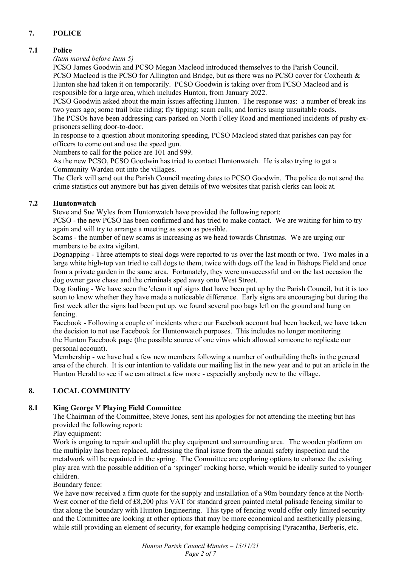# **7. POLICE**

# **7.1 Police**

*(Item moved before Item 5)* 

 PCSO James Goodwin and PCSO Megan Macleod introduced themselves to the Parish Council. PCSO Macleod is the PCSO for Allington and Bridge, but as there was no PCSO cover for Coxheath & Hunton she had taken it on temporarily. PCSO Goodwin is taking over from PCSO Macleod and is responsible for a large area, which includes Hunton, from January 2022.

PCSO Goodwin asked about the main issues affecting Hunton. The response was: a number of break ins two years ago; some trail bike riding; fly tipping; scam calls; and lorries using unsuitable roads.

The PCSOs have been addressing cars parked on North Folley Road and mentioned incidents of pushy exprisoners selling door-to-door.

In response to a question about monitoring speeding, PCSO Macleod stated that parishes can pay for officers to come out and use the speed gun.

Numbers to call for the police are 101 and 999.

As the new PCSO, PCSO Goodwin has tried to contact Huntonwatch. He is also trying to get a Community Warden out into the villages.

The Clerk will send out the Parish Council meeting dates to PCSO Goodwin. The police do not send the crime statistics out anymore but has given details of two websites that parish clerks can look at.

# **7.2 Huntonwatch**

Steve and Sue Wyles from Huntonwatch have provided the following report:

PCSO - the new PCSO has been confirmed and has tried to make contact. We are waiting for him to try again and will try to arrange a meeting as soon as possible.

Scams - the number of new scams is increasing as we head towards Christmas. We are urging our members to be extra vigilant.

Dognapping - Three attempts to steal dogs were reported to us over the last month or two. Two males in a large white high-top van tried to call dogs to them, twice with dogs off the lead in Bishops Field and once from a private garden in the same area. Fortunately, they were unsuccessful and on the last occasion the dog owner gave chase and the criminals sped away onto West Street.

Dog fouling - We have seen the 'clean it up' signs that have been put up by the Parish Council, but it is too soon to know whether they have made a noticeable difference. Early signs are encouraging but during the first week after the signs had been put up, we found several poo bags left on the ground and hung on fencing.

Facebook - Following a couple of incidents where our Facebook account had been hacked, we have taken the decision to not use Facebook for Huntonwatch purposes. This includes no longer monitoring the Hunton Facebook page (the possible source of one virus which allowed someone to replicate our personal account).

Membership - we have had a few new members following a number of outbuilding thefts in the general area of the church. It is our intention to validate our mailing list in the new year and to put an article in the Hunton Herald to see if we can attract a few more - especially anybody new to the village.

# **8. LOCAL COMMUNITY**

# **8.1 King George V Playing Field Committee**

The Chairman of the Committee, Steve Jones, sent his apologies for not attending the meeting but has provided the following report:

Play equipment:

Work is ongoing to repair and uplift the play equipment and surrounding area. The wooden platform on the multiplay has been replaced, addressing the final issue from the annual safety inspection and the metalwork will be repainted in the spring. The Committee are exploring options to enhance the existing play area with the possible addition of a 'springer' rocking horse, which would be ideally suited to younger children.

# Boundary fence:

We have now received a firm quote for the supply and installation of a 90m boundary fence at the North-West corner of the field of £8,200 plus VAT for standard green painted metal palisade fencing similar to that along the boundary with Hunton Engineering. This type of fencing would offer only limited security and the Committee are looking at other options that may be more economical and aesthetically pleasing, while still providing an element of security, for example hedging comprising Pyracantha, Berberis, etc.

> *Hunton Parish Council Minutes – 15/11/21 Page 2 of 7*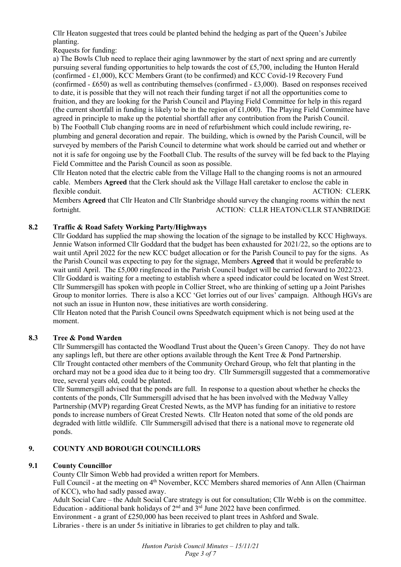Cllr Heaton suggested that trees could be planted behind the hedging as part of the Queen's Jubilee planting.

Requests for funding:

a) The Bowls Club need to replace their aging lawnmower by the start of next spring and are currently pursuing several funding opportunities to help towards the cost of £5,700, including the Hunton Herald (confirmed - £1,000), KCC Members Grant (to be confirmed) and KCC Covid-19 Recovery Fund (confirmed - £650) as well as contributing themselves (confirmed - £3,000). Based on responses received to date, it is possible that they will not reach their funding target if not all the opportunities come to fruition, and they are looking for the Parish Council and Playing Field Committee for help in this regard (the current shortfall in funding is likely to be in the region of £1,000). The Playing Field Committee have agreed in principle to make up the potential shortfall after any contribution from the Parish Council. b) The Football Club changing rooms are in need of refurbishment which could include rewiring, replumbing and general decoration and repair. The building, which is owned by the Parish Council, will be surveyed by members of the Parish Council to determine what work should be carried out and whether or not it is safe for ongoing use by the Football Club. The results of the survey will be fed back to the Playing Field Committee and the Parish Council as soon as possible.

Cllr Heaton noted that the electric cable from the Village Hall to the changing rooms is not an armoured cable. Members **Agreed** that the Clerk should ask the Village Hall caretaker to enclose the cable in flexible conduit. ACTION: CLERK

Members **Agreed** that Cllr Heaton and Cllr Stanbridge should survey the changing rooms within the next fortnight. ACTION: CLLR HEATON/CLLR STANBRIDGE

# **8.2 Traffic & Road Safety Working Party/Highways**

Cllr Goddard has supplied the map showing the location of the signage to be installed by KCC Highways. Jennie Watson informed Cllr Goddard that the budget has been exhausted for 2021/22, so the options are to wait until April 2022 for the new KCC budget allocation or for the Parish Council to pay for the signs. As the Parish Council was expecting to pay for the signage, Members **Agreed** that it would be preferable to wait until April. The £5,000 ringfenced in the Parish Council budget will be carried forward to 2022/23. Cllr Goddard is waiting for a meeting to establish where a speed indicator could be located on West Street. Cllr Summersgill has spoken with people in Collier Street, who are thinking of setting up a Joint Parishes Group to monitor lorries. There is also a KCC 'Get lorries out of our lives' campaign. Although HGVs are not such an issue in Hunton now, these initiatives are worth considering.

Cllr Heaton noted that the Parish Council owns Speedwatch equipment which is not being used at the moment.

# **8.3 Tree & Pond Warden**

Cllr Summersgill has contacted the Woodland Trust about the Queen's Green Canopy. They do not have any saplings left, but there are other options available through the Kent Tree & Pond Partnership. Cllr Trought contacted other members of the Community Orchard Group, who felt that planting in the orchard may not be a good idea due to it being too dry. Cllr Summersgill suggested that a commemorative tree, several years old, could be planted.

Cllr Summersgill advised that the ponds are full. In response to a question about whether he checks the contents of the ponds, Cllr Summersgill advised that he has been involved with the Medway Valley Partnership (MVP) regarding Great Crested Newts, as the MVP has funding for an initiative to restore ponds to increase numbers of Great Crested Newts. Cllr Heaton noted that some of the old ponds are degraded with little wildlife. Cllr Summersgill advised that there is a national move to regenerate old ponds.

# **9. COUNTY AND BOROUGH COUNCILLORS**

# **9.1 County Councillor**

County Cllr Simon Webb had provided a written report for Members.

Full Council - at the meeting on 4th November, KCC Members shared memories of Ann Allen (Chairman of KCC), who had sadly passed away.

Adult Social Care – the Adult Social Care strategy is out for consultation; Cllr Webb is on the committee. Education - additional bank holidays of  $2<sup>nd</sup>$  and  $3<sup>rd</sup>$  June 2022 have been confirmed.

Environment - a grant of £250,000 has been received to plant trees in Ashford and Swale.

Libraries - there is an under 5s initiative in libraries to get children to play and talk.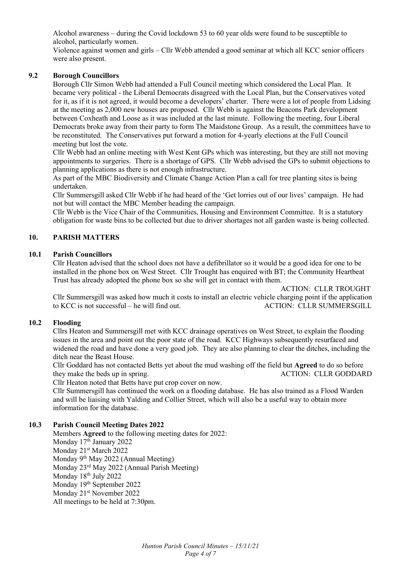Alcohol awareness – during the Covid lockdown 53 to 60 year olds were found to be susceptible to alcohol, particularly women.

Violence against women and girls – Cllr Webb attended a good seminar at which all KCC senior officers were also present.

### **9.2 Borough Councillors**

Borough Cllr Simon Webb had attended a Full Council meeting which considered the Local Plan. It became very political - the Liberal Democrats disagreed with the Local Plan, but the Conservatives voted for it, as if it is not agreed, it would become a developers' charter. There were a lot of people from Lidsing at the meeting as 2,000 new houses are proposed. Cllr Webb is against the Beacons Park development between Coxheath and Loose as it was included at the last minute. Following the meeting, four Liberal Democrats broke away from their party to form The Maidstone Group. As a result, the committees have to be reconstituted. The Conservatives put forward a motion for 4-yearly elections at the Full Council meeting but lost the vote.

Cllr Webb had an online meeting with West Kent GPs which was interesting, but they are still not moving appointments to surgeries. There is a shortage of GPS. Cllr Webb advised the GPs to submit objections to planning applications as there is not enough infrastructure.

As part of the MBC Biodiversity and Climate Change Action Plan a call for tree planting sites is being undertaken.

Cllr Summersgill asked Cllr Webb if he had heard of the 'Get lorries out of our lives' campaign. He had not but will contact the MBC Member heading the campaign.

Cllr Webb is the Vice Chair of the Communities, Housing and Environment Committee. It is a statutory obligation for waste bins to be collected but due to driver shortages not all garden waste is being collected.

## **10. PARISH MATTERS**

### **10.1 Parish Councillors**

Cllr Heaton advised that the school does not have a defibrillator so it would be a good idea for one to be installed in the phone box on West Street. Cllr Trought has enquired with BT; the Community Heartbeat Trust has already adopted the phone box so she will get in contact with them.

 ACTION: CLLR TROUGHT Cllr Summersgill was asked how much it costs to install an electric vehicle charging point if the application to KCC is not successful – he will find out. ACTION: CLLR SUMMERSGILL

### **10.2 Flooding**

Cllrs Heaton and Summersgill met with KCC drainage operatives on West Street, to explain the flooding issues in the area and point out the poor state of the road. KCC Highways subsequently resurfaced and widened the road and have done a very good job. They are also planning to clear the ditches, including the ditch near the Beast House.

Cllr Goddard has not contacted Betts yet about the mud washing off the field but **Agreed** to do so before they make the beds up in spring. ACTION: CLLR GODDARD

Cllr Heaton noted that Betts have put crop cover on now.

Cllr Summersgill has continued the work on a flooding database. He has also trained as a Flood Warden and will be liaising with Yalding and Collier Street, which will also be a useful way to obtain more information for the database.

### **10.3 Parish Council Meeting Dates 2022**

Members **Agreed** to the following meeting dates for 2022: Monday 17<sup>th</sup> January 2022 Monday 21<sup>st</sup> March 2022 Monday 9<sup>th</sup> May 2022 (Annual Meeting) Monday 23rd May 2022 (Annual Parish Meeting) Monday 18<sup>th</sup> July 2022 Monday 19<sup>th</sup> September 2022 Monday 21st November 2022 All meetings to be held at 7:30pm.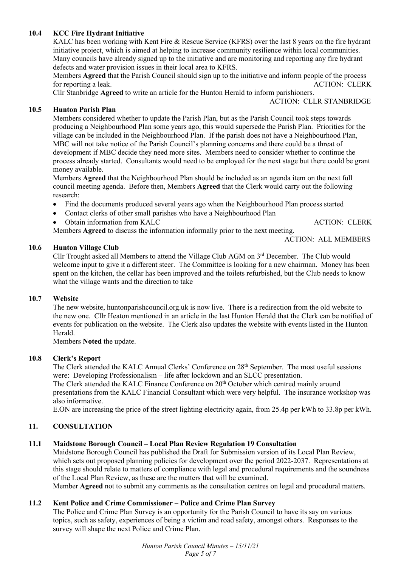# **10.4 KCC Fire Hydrant Initiative**

KALC has been working with Kent Fire & Rescue Service (KFRS) over the last 8 years on the fire hydrant initiative project, which is aimed at helping to increase community resilience within local communities. Many councils have already signed up to the initiative and are monitoring and reporting any fire hydrant defects and water provision issues in their local area to KFRS.

Members **Agreed** that the Parish Council should sign up to the initiative and inform people of the process for reporting a leak. ACTION: CLERK

Cllr Stanbridge **Agreed** to write an article for the Hunton Herald to inform parishioners. ACTION: CLLR STANBRIDGE

### **10.5 Hunton Parish Plan**

Members considered whether to update the Parish Plan, but as the Parish Council took steps towards producing a Neighbourhood Plan some years ago, this would supersede the Parish Plan. Priorities for the village can be included in the Neighbourhood Plan. If the parish does not have a Neighbourhood Plan, MBC will not take notice of the Parish Council's planning concerns and there could be a threat of development if MBC decide they need more sites. Members need to consider whether to continue the process already started. Consultants would need to be employed for the next stage but there could be grant money available.

Members **Agreed** that the Neighbourhood Plan should be included as an agenda item on the next full council meeting agenda. Before then, Members **Agreed** that the Clerk would carry out the following research:

- Find the documents produced several years ago when the Neighbourhood Plan process started
- Contact clerks of other small parishes who have a Neighbourhood Plan
- Obtain information from KALC ACTION: CLERK

Members **Agreed** to discuss the information informally prior to the next meeting.

ACTION: ALL MEMBERS

## **10.6 Hunton Village Club**

Cllr Trought asked all Members to attend the Village Club AGM on 3rd December. The Club would welcome input to give it a different steer. The Committee is looking for a new chairman. Money has been spent on the kitchen, the cellar has been improved and the toilets refurbished, but the Club needs to know what the village wants and the direction to take

### **10.7 Website**

The new website, huntonparishcouncil.org.uk is now live. There is a redirection from the old website to the new one. Cllr Heaton mentioned in an article in the last Hunton Herald that the Clerk can be notified of events for publication on the website. The Clerk also updates the website with events listed in the Hunton Herald.

Members **Noted** the update.

# **10.8 Clerk's Report**

The Clerk attended the KALC Annual Clerks' Conference on 28<sup>th</sup> September. The most useful sessions were: Developing Professionalism – life after lockdown and an SLCC presentation.

The Clerk attended the KALC Finance Conference on 20<sup>th</sup> October which centred mainly around presentations from the KALC Financial Consultant which were very helpful. The insurance workshop was also informative.

E.ON are increasing the price of the street lighting electricity again, from 25.4p per kWh to 33.8p per kWh.

# **11. CONSULTATION**

# **11.1 Maidstone Borough Council – Local Plan Review Regulation 19 Consultation**

Maidstone Borough Council has published the Draft for Submission version of its Local Plan Review, which sets out proposed planning policies for development over the period 2022-2037. Representations at this stage should relate to matters of compliance with legal and procedural requirements and the soundness of the Local Plan Review, as these are the matters that will be examined.

Member **Agreed** not to submit any comments as the consultation centres on legal and procedural matters.

# **11.2 Kent Police and Crime Commissioner – Police and Crime Plan Survey**

The Police and Crime Plan Survey is an opportunity for the Parish Council to have its say on various topics, such as safety, experiences of being a victim and road safety, amongst others. Responses to the survey will shape the next Police and Crime Plan.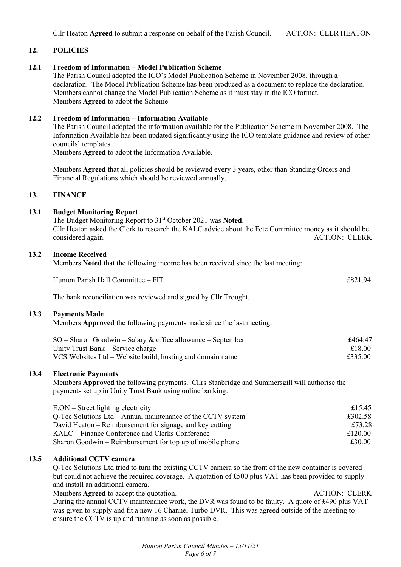### **12. POLICIES**

#### **12.1 Freedom of Information – Model Publication Scheme**

The Parish Council adopted the ICO's Model Publication Scheme in November 2008, through a declaration. The Model Publication Scheme has been produced as a document to replace the declaration. Members cannot change the Model Publication Scheme as it must stay in the ICO format. Members **Agreed** to adopt the Scheme.

#### **12.2 Freedom of Information – Information Available**

The Parish Council adopted the information available for the Publication Scheme in November 2008. The Information Available has been updated significantly using the ICO template guidance and review of other councils' templates.

Members **Agreed** to adopt the Information Available.

Members **Agreed** that all policies should be reviewed every 3 years, other than Standing Orders and Financial Regulations which should be reviewed annually.

#### **13. FINANCE**

#### **13.1 Budget Monitoring Report**

The Budget Monitoring Report to 31st October 2021 was **Noted**. Cllr Heaton asked the Clerk to research the KALC advice about the Fete Committee money as it should be considered again. ACTION: CLERK

#### **13.2 Income Received**

Members **Noted** that the following income has been received since the last meeting:

| Hunton Parish Hall Committee – FIT | $\Omega$<br>£82' |
|------------------------------------|------------------|
|                                    |                  |

The bank reconciliation was reviewed and signed by Cllr Trought.

#### **13.3 Payments Made**

Members **Approved** the following payments made since the last meeting:

| $SO -$ Sharon Goodwin – Salary & office allowance – September | £464.47 |
|---------------------------------------------------------------|---------|
| Unity Trust Bank – Service charge                             | £18.00  |
| VCS Websites Ltd – Website build, hosting and domain name     | £335.00 |

### **13.4 Electronic Payments**

Members **Approved** the following payments. Cllrs Stanbridge and Summersgill will authorise the payments set up in Unity Trust Bank using online banking:

| $E. ON - Street lighting electricity$                       | £15.45  |
|-------------------------------------------------------------|---------|
| Q-Tec Solutions Ltd – Annual maintenance of the CCTV system | £302.58 |
| David Heaton – Reimbursement for signage and key cutting    | £73.28  |
| KALC – Finance Conference and Clerks Conference             | £120.00 |
| Sharon Goodwin – Reimbursement for top up of mobile phone   | £30.00  |

### **13.5 Additional CCTV camera**

Q-Tec Solutions Ltd tried to turn the existing CCTV camera so the front of the new container is covered but could not achieve the required coverage. A quotation of £500 plus VAT has been provided to supply and install an additional camera.

Members **Agreed** to accept the quotation. ACTION: CLERK

During the annual CCTV maintenance work, the DVR was found to be faulty. A quote of £490 plus VAT was given to supply and fit a new 16 Channel Turbo DVR. This was agreed outside of the meeting to ensure the CCTV is up and running as soon as possible.